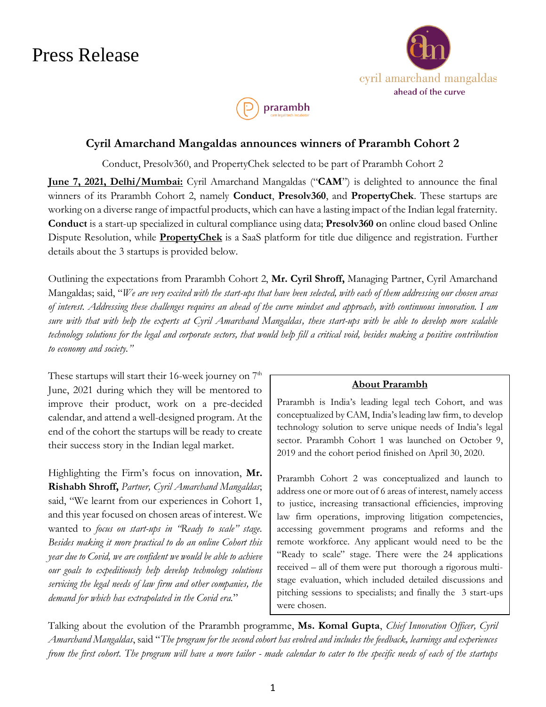## Press Release





### **Cyril Amarchand Mangaldas announces winners of Prarambh Cohort 2**

Conduct, Presolv360, and PropertyChek selected to be part of Prarambh Cohort 2

**June 7, 2021, Delhi/Mumbai:** Cyril Amarchand Mangaldas ("**CAM**") is delighted to announce the final winners of its Prarambh Cohort 2, namely **Conduct**, **Presolv360**, and **PropertyChek**. These startups are working on a diverse range of impactful products, which can have a lasting impact of the Indian legal fraternity. **Conduct** is a start-up specialized in cultural compliance using data; **Presolv360 o**n online cloud based Online Dispute Resolution, while **PropertyChek** is a SaaS platform for title due diligence and registration. Further details about the 3 startups is provided below.

Outlining the expectations from Prarambh Cohort 2, **Mr. Cyril Shroff,** Managing Partner, Cyril Amarchand Mangaldas; said, "*We are very excited with the start-ups that have been selected, with each of them addressing our chosen areas of interest. Addressing these challenges requires an ahead of the curve mindset and approach, with continuous innovation. I am sure with that with help the experts at Cyril Amarchand Mangaldas, these start-ups with be able to develop more scalable technology solutions for the legal and corporate sectors, that would help fill a critical void, besides making a positive contribution to economy and society."* 

These startups will start their 16-week journey on  $7<sup>th</sup>$ June, 2021 during which they will be mentored to improve their product, work on a pre-decided calendar, and attend a well-designed program. At the end of the cohort the startups will be ready to create their success story in the Indian legal market.

Highlighting the Firm's focus on innovation, **Mr. Rishabh Shroff,** *Partner, Cyril Amarchand Mangaldas*; said, "We learnt from our experiences in Cohort 1, and this year focused on chosen areas of interest. We wanted to *focus on start-ups in "Ready to scale" stage. Besides making it more practical to do an online Cohort this year due to Covid, we are confident we would be able to achieve our goals to expeditiously help develop technology solutions servicing the legal needs of law firm and other companies, the demand for which has extrapolated in the Covid era.*"

#### **About Prarambh**

Prarambh is India's leading legal tech Cohort, and was conceptualized by CAM, India's leading law firm, to develop technology solution to serve unique needs of India's legal sector. Prarambh Cohort 1 was launched on October 9, 2019 and the cohort period finished on April 30, 2020.

Prarambh Cohort 2 was conceptualized and launch to address one or more out of 6 areas of interest, namely access to justice, increasing transactional efficiencies, improving law firm operations, improving litigation competencies, accessing government programs and reforms and the remote workforce. Any applicant would need to be the "Ready to scale" stage. There were the 24 applications received – all of them were put thorough a rigorous multistage evaluation, which included detailed discussions and pitching sessions to specialists; and finally the 3 start-ups were chosen.

Talking about the evolution of the Prarambh programme, **Ms. Komal Gupta**, *Chief Innovation Officer, Cyril Amarchand Mangaldas*, said "*The program for the second cohort has evolved and includes the feedback, learnings and experiences from the first cohort. The program will have a more tailor - made calendar to cater to the specific needs of each of the startups*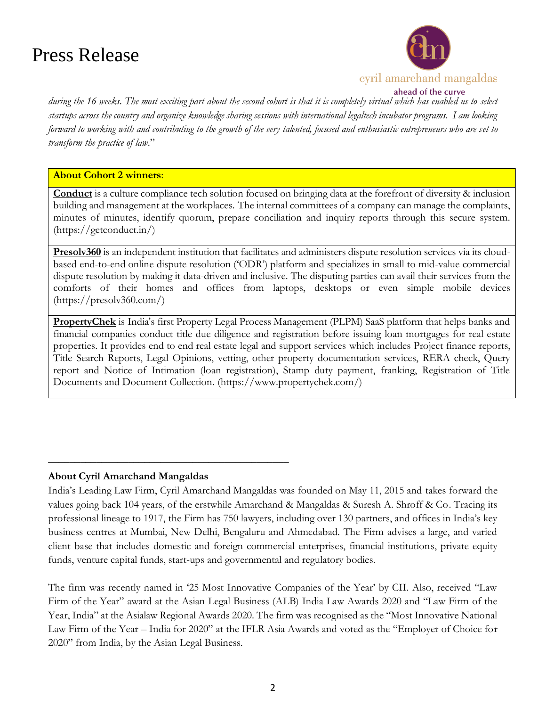# Press Release



ahead of the curve

*during the 16 weeks. The most exciting part about the second cohort is that it is completely virtual which has enabled us to select startups across the country and organize knowledge sharing sessions with international legaltech incubator programs. I am looking forward to working with and contributing to the growth of the very talented, focused and enthusiastic entrepreneurs who are set to transform the practice of law*."

#### **About Cohort 2 winners**:

**Conduct** is a culture compliance tech solution focused on bringing data at the forefront of diversity & inclusion building and management at the workplaces. The internal committees of a company can manage the complaints, minutes of minutes, identify quorum, prepare conciliation and inquiry reports through this secure system. (https://getconduct.in/)

**Presolv360** is an independent institution that facilitates and administers dispute resolution services via its cloudbased end-to-end online dispute resolution ('ODR') platform and specializes in small to mid-value commercial dispute resolution by making it data-driven and inclusive. The disputing parties can avail their services from the comforts of their homes and offices from laptops, desktops or even simple mobile devices (https://presolv360.com/)

**PropertyChek** is India's first Property Legal Process Management (PLPM) SaaS platform that helps banks and financial companies conduct title due diligence and registration before issuing loan mortgages for real estate properties. It provides end to end real estate legal and support services which includes Project finance reports, Title Search Reports, Legal Opinions, vetting, other property documentation services, RERA check, Query report and Notice of Intimation (loan registration), Stamp duty payment, franking, Registration of Title Documents and Document Collection. (https://www.propertychek.com/)

### **About Cyril Amarchand Mangaldas**

**\_\_\_\_\_\_\_\_\_\_\_\_\_\_\_\_\_\_\_\_\_\_\_\_\_\_\_\_\_\_\_\_\_\_\_\_\_\_\_\_\_\_\_\_\_**

India's Leading Law Firm, Cyril Amarchand Mangaldas was founded on May 11, 2015 and takes forward the values going back 104 years, of the erstwhile Amarchand & Mangaldas & Suresh A. Shroff & Co. Tracing its professional lineage to 1917, the Firm has 750 lawyers, including over 130 partners, and offices in India's key business centres at Mumbai, New Delhi, Bengaluru and Ahmedabad. The Firm advises a large, and varied client base that includes domestic and foreign commercial enterprises, financial institutions, private equity funds, venture capital funds, start-ups and governmental and regulatory bodies.

The firm was recently named in '25 Most Innovative Companies of the Year' by CII. Also, received "Law Firm of the Year" award at the Asian Legal Business (ALB) India Law Awards 2020 and "Law Firm of the Year, India" at the Asialaw Regional Awards 2020. The firm was recognised as the "Most Innovative National Law Firm of the Year – India for 2020" at the IFLR Asia Awards and voted as the "Employer of Choice for 2020" from India, by the Asian Legal Business.